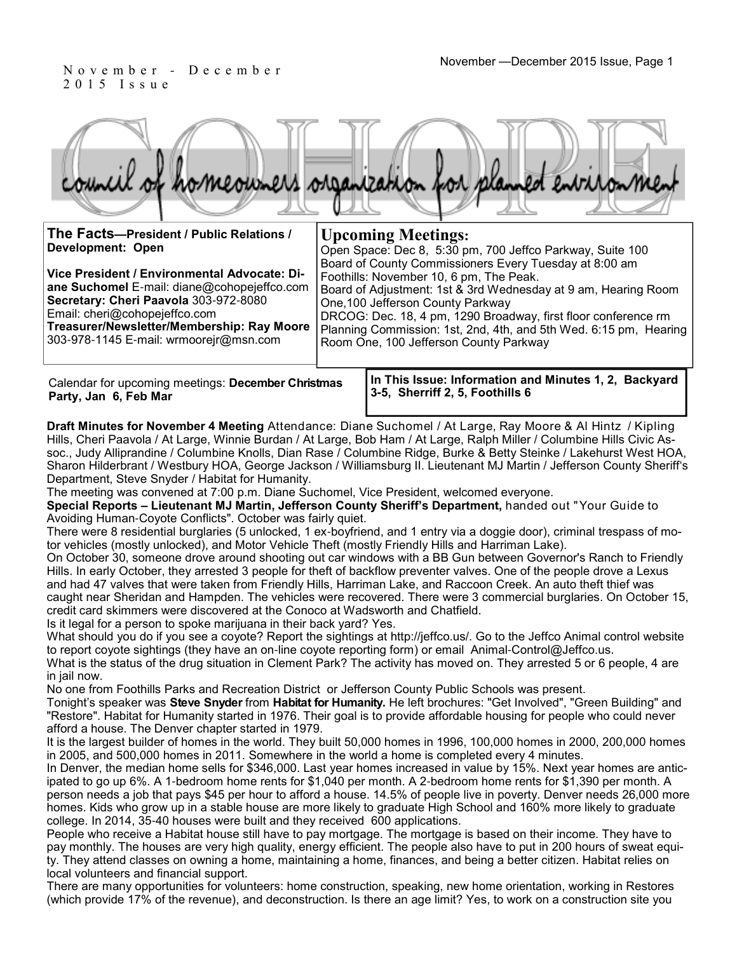2 0 1 5 I s s u e

|           |                                |  |                         | homeowners organization for planned environment |
|-----------|--------------------------------|--|-------------------------|-------------------------------------------------|
| Tha Eaete | Dreaident / Dublic Delations / |  | $\prod_{\alpha} \alpha$ |                                                 |

| The Facts-President / Public Relations /                                                                                                                                                                                                                      | <b>Upcoming Meetings:</b>                                                                                                                                                                                                                                                                                                                                                                 |  |  |  |  |
|---------------------------------------------------------------------------------------------------------------------------------------------------------------------------------------------------------------------------------------------------------------|-------------------------------------------------------------------------------------------------------------------------------------------------------------------------------------------------------------------------------------------------------------------------------------------------------------------------------------------------------------------------------------------|--|--|--|--|
| <b>Development: Open</b>                                                                                                                                                                                                                                      | Open Space: Dec 8, 5:30 pm, 700 Jeffco Parkway, Suite 100                                                                                                                                                                                                                                                                                                                                 |  |  |  |  |
| Vice President / Environmental Advocate: Di-<br>ane Suchomel E-mail: diane@cohopejeffco.com<br>Secretary: Cheri Paavola 303-972-8080<br>Email: cheri@cohopejeffco.com<br>Treasurer/Newsletter/Membership: Ray Moore<br>303-978-1145 E-mail: wrmoorejr@msn.com | Board of County Commissioners Every Tuesday at 8:00 am<br>Foothills: November 10, 6 pm, The Peak.<br>Board of Adjustment: 1st & 3rd Wednesday at 9 am, Hearing Room<br>One, 100 Jefferson County Parkway<br>DRCOG: Dec. 18, 4 pm, 1290 Broadway, first floor conference rm<br>Planning Commission: 1st, 2nd, 4th, and 5th Wed. 6:15 pm, Hearing<br>Room One, 100 Jefferson County Parkway |  |  |  |  |
|                                                                                                                                                                                                                                                               | a This Issued Information and Minutes 4. A. Baskarond. I                                                                                                                                                                                                                                                                                                                                  |  |  |  |  |

Calendar for upcoming meetings: **December Christmas Party, Jan 6, Feb Mar**

**In This Issue: Information and Minutes 1, 2, Backyard 3-5, Sherriff 2, 5, Foothills 6** 

**Draft Minutes for November 4 Meeting** Attendance: Diane Suchomel / At Large, Ray Moore & Al Hintz / Kipling Hills, Cheri Paavola / At Large, Winnie Burdan / At Large, Bob Ham / At Large, Ralph Miller / Columbine Hills Civic Assoc., Judy Alliprandine / Columbine Knolls, Dian Rase / Columbine Ridge, Burke & Betty Steinke / Lakehurst West HOA, Sharon Hilderbrant / Westbury HOA, George Jackson / Williamsburg II. Lieutenant MJ Martin / Jefferson County Sheriff's Department, Steve Snyder / Habitat for Humanity.

The meeting was convened at 7:00 p.m. Diane Suchomel, Vice President, welcomed everyone.

**Special Reports – Lieutenant MJ Martin, Jefferson County Sheriff's Department,** handed out "Your Guide to Avoiding Human-Coyote Conflicts". October was fairly quiet.

There were 8 residential burglaries (5 unlocked, 1 ex-boyfriend, and 1 entry via a doggie door), criminal trespass of motor vehicles (mostly unlocked), and Motor Vehicle Theft (mostly Friendly Hills and Harriman Lake).

On October 30, someone drove around shooting out car windows with a BB Gun between Governor's Ranch to Friendly Hills. In early October, they arrested 3 people for theft of backflow preventer valves. One of the people drove a Lexus and had 47 valves that were taken from Friendly Hills, Harriman Lake, and Raccoon Creek. An auto theft thief was caught near Sheridan and Hampden. The vehicles were recovered. There were 3 commercial burglaries. On October 15, credit card skimmers were discovered at the Conoco at Wadsworth and Chatfield.

Is it legal for a person to spoke marijuana in their back yard? Yes.

What should you do if you see a coyote? Report the sightings at http://jeffco.us/. Go to the Jeffco Animal control website to report coyote sightings (they have an on-line coyote reporting form) or email Animal-Control@Jeffco.us.

What is the status of the drug situation in Clement Park? The activity has moved on. They arrested 5 or 6 people, 4 are in jail now.

No one from Foothills Parks and Recreation District or Jefferson County Public Schools was present.

Tonight's speaker was **Steve Snyder** from **Habitat for Humanity.** He left brochures: "Get Involved", "Green Building" and "Restore". Habitat for Humanity started in 1976. Their goal is to provide affordable housing for people who could never afford a house. The Denver chapter started in 1979.

It is the largest builder of homes in the world. They built 50,000 homes in 1996, 100,000 homes in 2000, 200,000 homes in 2005, and 500,000 homes in 2011. Somewhere in the world a home is completed every 4 minutes.

In Denver, the median home sells for \$346,000. Last year homes increased in value by 15%. Next year homes are anticipated to go up 6%. A 1-bedroom home rents for \$1,040 per month. A 2-bedroom home rents for \$1,390 per month. A person needs a job that pays \$45 per hour to afford a house. 14.5% of people live in poverty. Denver needs 26,000 more homes. Kids who grow up in a stable house are more likely to graduate High School and 160% more likely to graduate college. In 2014, 35-40 houses were built and they received 600 applications.

People who receive a Habitat house still have to pay mortgage. The mortgage is based on their income. They have to pay monthly. The houses are very high quality, energy efficient. The people also have to put in 200 hours of sweat equity. They attend classes on owning a home, maintaining a home, finances, and being a better citizen. Habitat relies on local volunteers and financial support.

There are many opportunities for volunteers: home construction, speaking, new home orientation, working in Restores (which provide 17% of the revenue), and deconstruction. Is there an age limit? Yes, to work on a construction site you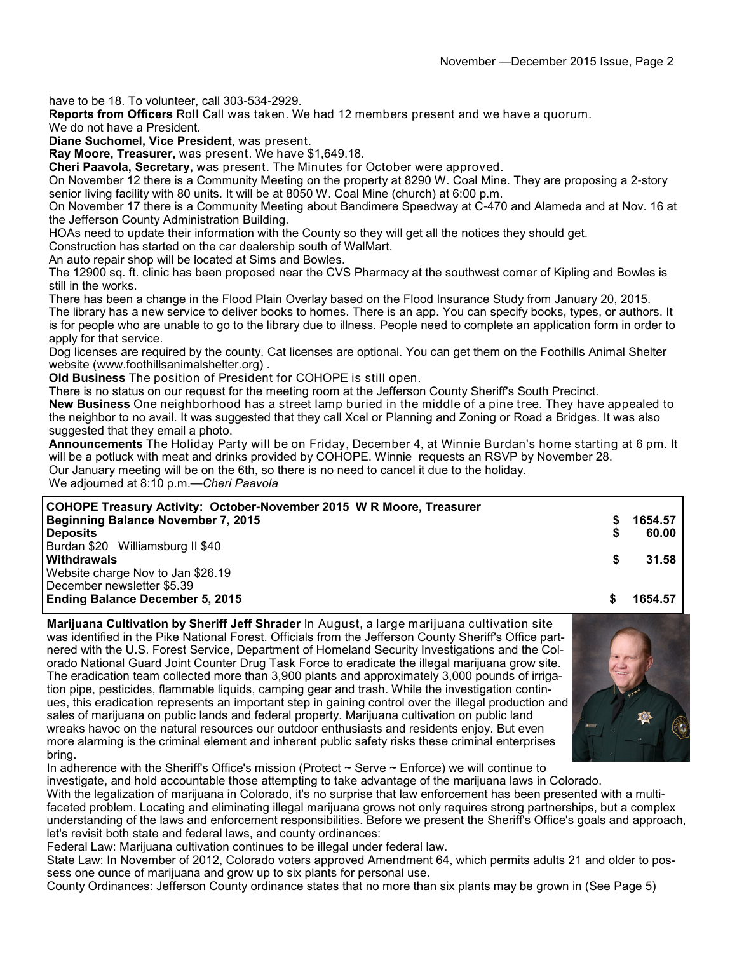have to be 18. To volunteer, call 303-534-2929.

**Reports from Officers** Roll Call was taken. We had 12 members present and we have a quorum.

We do not have a President.

**Diane Suchomel, Vice President**, was present.

**Ray Moore, Treasurer,** was present. We have \$1,649.18.

**Cheri Paavola, Secretary,** was present. The Minutes for October were approved.

On November 12 there is a Community Meeting on the property at 8290 W. Coal Mine. They are proposing a 2-story senior living facility with 80 units. It will be at 8050 W. Coal Mine (church) at 6:00 p.m.

On November 17 there is a Community Meeting about Bandimere Speedway at C-470 and Alameda and at Nov. 16 at the Jefferson County Administration Building.

HOAs need to update their information with the County so they will get all the notices they should get.

Construction has started on the car dealership south of WalMart.

An auto repair shop will be located at Sims and Bowles.

The 12900 sq. ft. clinic has been proposed near the CVS Pharmacy at the southwest corner of Kipling and Bowles is still in the works.

There has been a change in the Flood Plain Overlay based on the Flood Insurance Study from January 20, 2015.

The library has a new service to deliver books to homes. There is an app. You can specify books, types, or authors. It is for people who are unable to go to the library due to illness. People need to complete an application form in order to apply for that service.

Dog licenses are required by the county. Cat licenses are optional. You can get them on the Foothills Animal Shelter website (www.foothillsanimalshelter.org) .

**Old Business** The position of President for COHOPE is still open.

There is no status on our request for the meeting room at the Jefferson County Sheriff's South Precinct.

**New Business** One neighborhood has a street lamp buried in the middle of a pine tree. They have appealed to the neighbor to no avail. It was suggested that they call Xcel or Planning and Zoning or Road a Bridges. It was also suggested that they email a photo.

**Announcements** The Holiday Party will be on Friday, December 4, at Winnie Burdan's home starting at 6 pm. It will be a potluck with meat and drinks provided by COHOPE. Winnie requests an RSVP by November 28. Our January meeting will be on the 6th, so there is no need to cancel it due to the holiday.

We adjourned at 8:10 p.m.—*Cheri Paavola*

|   | 1654.57 |
|---|---------|
|   | 60.00   |
|   |         |
| S | 31.58   |
|   |         |
|   |         |
|   | 1654.57 |
|   |         |

**Marijuana Cultivation by Sheriff Jeff Shrader** In August, a large marijuana cultivation site was identified in the Pike National Forest. Officials from the Jefferson County Sheriff's Office partnered with the U.S. Forest Service, Department of Homeland Security Investigations and the Colorado National Guard Joint Counter Drug Task Force to eradicate the illegal marijuana grow site. The eradication team collected more than 3,900 plants and approximately 3,000 pounds of irrigation pipe, pesticides, flammable liquids, camping gear and trash. While the investigation continues, this eradication represents an important step in gaining control over the illegal production and sales of marijuana on public lands and federal property. Marijuana cultivation on public land wreaks havoc on the natural resources our outdoor enthusiasts and residents enjoy. But even more alarming is the criminal element and inherent public safety risks these criminal enterprises bring.



In adherence with the Sheriff's Office's mission (Protect  $\sim$  Serve  $\sim$  Enforce) we will continue to investigate, and hold accountable those attempting to take advantage of the marijuana laws in Colorado.

With the legalization of marijuana in Colorado, it's no surprise that law enforcement has been presented with a multifaceted problem. Locating and eliminating illegal marijuana grows not only requires strong partnerships, but a complex understanding of the laws and enforcement responsibilities. Before we present the Sheriff's Office's goals and approach, let's revisit both state and federal laws, and county ordinances:

Federal Law: Marijuana cultivation continues to be illegal under federal law.

State Law: In November of 2012, Colorado voters approved Amendment 64, which permits adults 21 and older to possess one ounce of marijuana and grow up to six plants for personal use.

County Ordinances: Jefferson County ordinance states that no more than six plants may be grown in (See Page 5)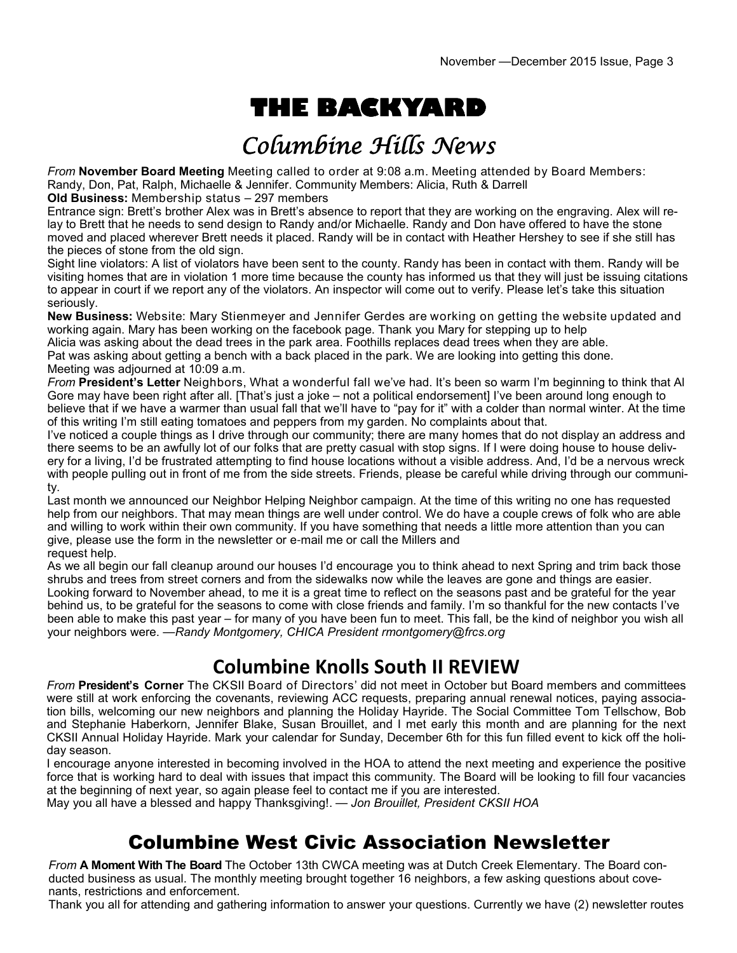# **THE BACKYARD**

## Columbine Hills News

*From* **November Board Meeting** Meeting called to order at 9:08 a.m. Meeting attended by Board Members: Randy, Don, Pat, Ralph, Michaelle & Jennifer. Community Members: Alicia, Ruth & Darrell

**Old Business:** Membership status – 297 members

Entrance sign: Brett's brother Alex was in Brett's absence to report that they are working on the engraving. Alex will relay to Brett that he needs to send design to Randy and/or Michaelle. Randy and Don have offered to have the stone moved and placed wherever Brett needs it placed. Randy will be in contact with Heather Hershey to see if she still has the pieces of stone from the old sign.

Sight line violators: A list of violators have been sent to the county. Randy has been in contact with them. Randy will be visiting homes that are in violation 1 more time because the county has informed us that they will just be issuing citations to appear in court if we report any of the violators. An inspector will come out to verify. Please let's take this situation seriously.

**New Business:** Website: Mary Stienmeyer and Jennifer Gerdes are working on getting the website updated and working again. Mary has been working on the facebook page. Thank you Mary for stepping up to help

Alicia was asking about the dead trees in the park area. Foothills replaces dead trees when they are able. Pat was asking about getting a bench with a back placed in the park. We are looking into getting this done. Meeting was adjourned at 10:09 a.m.

*From* **President's Letter** Neighbors, What a wonderful fall we've had. It's been so warm I'm beginning to think that Al Gore may have been right after all. [That's just a joke – not a political endorsement] I've been around long enough to believe that if we have a warmer than usual fall that we'll have to "pay for it" with a colder than normal winter. At the time of this writing I'm still eating tomatoes and peppers from my garden. No complaints about that.

I've noticed a couple things as I drive through our community; there are many homes that do not display an address and there seems to be an awfully lot of our folks that are pretty casual with stop signs. If I were doing house to house delivery for a living, I'd be frustrated attempting to find house locations without a visible address. And, I'd be a nervous wreck with people pulling out in front of me from the side streets. Friends, please be careful while driving through our community.

Last month we announced our Neighbor Helping Neighbor campaign. At the time of this writing no one has requested help from our neighbors. That may mean things are well under control. We do have a couple crews of folk who are able and willing to work within their own community. If you have something that needs a little more attention than you can give, please use the form in the newsletter or e-mail me or call the Millers and request help.

As we all begin our fall cleanup around our houses I'd encourage you to think ahead to next Spring and trim back those shrubs and trees from street corners and from the sidewalks now while the leaves are gone and things are easier. Looking forward to November ahead, to me it is a great time to reflect on the seasons past and be grateful for the year behind us, to be grateful for the seasons to come with close friends and family. I'm so thankful for the new contacts I've been able to make this past year – for many of you have been fun to meet. This fall, be the kind of neighbor you wish all your neighbors were. —*Randy Montgomery, CHICA President rmontgomery@frcs.org*

#### **Columbine Knolls South II REVIEW**

*From* **President's Corner** The CKSII Board of Directors' did not meet in October but Board members and committees were still at work enforcing the covenants, reviewing ACC requests, preparing annual renewal notices, paying association bills, welcoming our new neighbors and planning the Holiday Hayride. The Social Committee Tom Tellschow, Bob and Stephanie Haberkorn, Jennifer Blake, Susan Brouillet, and I met early this month and are planning for the next CKSII Annual Holiday Hayride. Mark your calendar for Sunday, December 6th for this fun filled event to kick off the holiday season.

I encourage anyone interested in becoming involved in the HOA to attend the next meeting and experience the positive force that is working hard to deal with issues that impact this community. The Board will be looking to fill four vacancies at the beginning of next year, so again please feel to contact me if you are interested.

May you all have a blessed and happy Thanksgiving!. — *Jon Brouillet, President CKSII HOA*

#### Columbine West Civic Association Newsletter

*From* **A Moment With The Board** The October 13th CWCA meeting was at Dutch Creek Elementary. The Board conducted business as usual. The monthly meeting brought together 16 neighbors, a few asking questions about covenants, restrictions and enforcement.

Thank you all for attending and gathering information to answer your questions. Currently we have (2) newsletter routes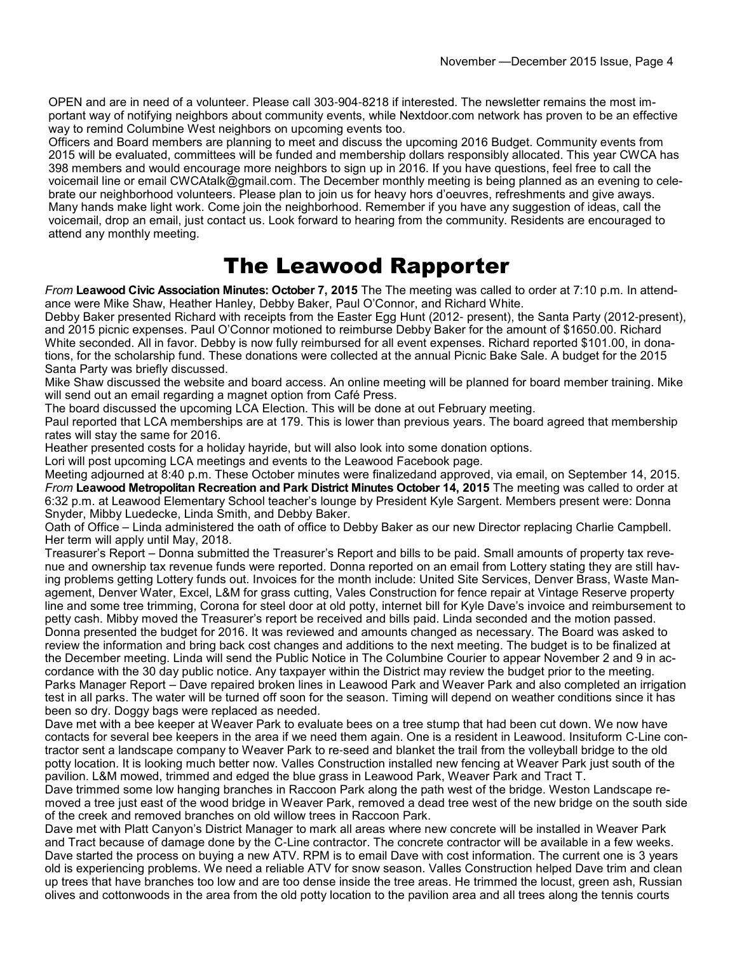OPEN and are in need of a volunteer. Please call 303-904-8218 if interested. The newsletter remains the most important way of notifying neighbors about community events, while Nextdoor.com network has proven to be an effective way to remind Columbine West neighbors on upcoming events too.

Officers and Board members are planning to meet and discuss the upcoming 2016 Budget. Community events from 2015 will be evaluated, committees will be funded and membership dollars responsibly allocated. This year CWCA has 398 members and would encourage more neighbors to sign up in 2016. If you have questions, feel free to call the voicemail line or email CWCAtalk@gmail.com. The December monthly meeting is being planned as an evening to celebrate our neighborhood volunteers. Please plan to join us for heavy hors d'oeuvres, refreshments and give aways. Many hands make light work. Come join the neighborhood. Remember if you have any suggestion of ideas, call the voicemail, drop an email, just contact us. Look forward to hearing from the community. Residents are encouraged to attend any monthly meeting.

### The Leawood Rapporter

*From* **Leawood Civic Association Minutes: October 7, 2015** The The meeting was called to order at 7:10 p.m. In attendance were Mike Shaw, Heather Hanley, Debby Baker, Paul O'Connor, and Richard White.

Debby Baker presented Richard with receipts from the Easter Egg Hunt (2012- present), the Santa Party (2012-present), and 2015 picnic expenses. Paul O'Connor motioned to reimburse Debby Baker for the amount of \$1650.00. Richard White seconded. All in favor. Debby is now fully reimbursed for all event expenses. Richard reported \$101.00, in donations, for the scholarship fund. These donations were collected at the annual Picnic Bake Sale. A budget for the 2015 Santa Party was briefly discussed.

Mike Shaw discussed the website and board access. An online meeting will be planned for board member training. Mike will send out an email regarding a magnet option from Café Press.

The board discussed the upcoming LCA Election. This will be done at out February meeting.

Paul reported that LCA memberships are at 179. This is lower than previous years. The board agreed that membership rates will stay the same for 2016.

Heather presented costs for a holiday hayride, but will also look into some donation options.

Lori will post upcoming LCA meetings and events to the Leawood Facebook page.

Meeting adjourned at 8:40 p.m. These October minutes were finalizedand approved, via email, on September 14, 2015. *From* **Leawood Metropolitan Recreation and Park District Minutes October 14, 2015** The meeting was called to order at 6:32 p.m. at Leawood Elementary School teacher's lounge by President Kyle Sargent. Members present were: Donna Snyder, Mibby Luedecke, Linda Smith, and Debby Baker.

Oath of Office – Linda administered the oath of office to Debby Baker as our new Director replacing Charlie Campbell. Her term will apply until May, 2018.

Treasurer's Report – Donna submitted the Treasurer's Report and bills to be paid. Small amounts of property tax revenue and ownership tax revenue funds were reported. Donna reported on an email from Lottery stating they are still having problems getting Lottery funds out. Invoices for the month include: United Site Services, Denver Brass, Waste Management, Denver Water, Excel, L&M for grass cutting, Vales Construction for fence repair at Vintage Reserve property line and some tree trimming, Corona for steel door at old potty, internet bill for Kyle Dave's invoice and reimbursement to petty cash. Mibby moved the Treasurer's report be received and bills paid. Linda seconded and the motion passed. Donna presented the budget for 2016. It was reviewed and amounts changed as necessary. The Board was asked to review the information and bring back cost changes and additions to the next meeting. The budget is to be finalized at the December meeting. Linda will send the Public Notice in The Columbine Courier to appear November 2 and 9 in accordance with the 30 day public notice. Any taxpayer within the District may review the budget prior to the meeting. Parks Manager Report – Dave repaired broken lines in Leawood Park and Weaver Park and also completed an irrigation test in all parks. The water will be turned off soon for the season. Timing will depend on weather conditions since it has been so dry. Doggy bags were replaced as needed.

Dave met with a bee keeper at Weaver Park to evaluate bees on a tree stump that had been cut down. We now have contacts for several bee keepers in the area if we need them again. One is a resident in Leawood. Insituform C-Line contractor sent a landscape company to Weaver Park to re-seed and blanket the trail from the volleyball bridge to the old potty location. It is looking much better now. Valles Construction installed new fencing at Weaver Park just south of the pavilion. L&M mowed, trimmed and edged the blue grass in Leawood Park, Weaver Park and Tract T.

Dave trimmed some low hanging branches in Raccoon Park along the path west of the bridge. Weston Landscape removed a tree just east of the wood bridge in Weaver Park, removed a dead tree west of the new bridge on the south side of the creek and removed branches on old willow trees in Raccoon Park.

Dave met with Platt Canyon's District Manager to mark all areas where new concrete will be installed in Weaver Park and Tract because of damage done by the C-Line contractor. The concrete contractor will be available in a few weeks. Dave started the process on buying a new ATV. RPM is to email Dave with cost information. The current one is 3 years old is experiencing problems. We need a reliable ATV for snow season. Valles Construction helped Dave trim and clean up trees that have branches too low and are too dense inside the tree areas. He trimmed the locust, green ash, Russian olives and cottonwoods in the area from the old potty location to the pavilion area and all trees along the tennis courts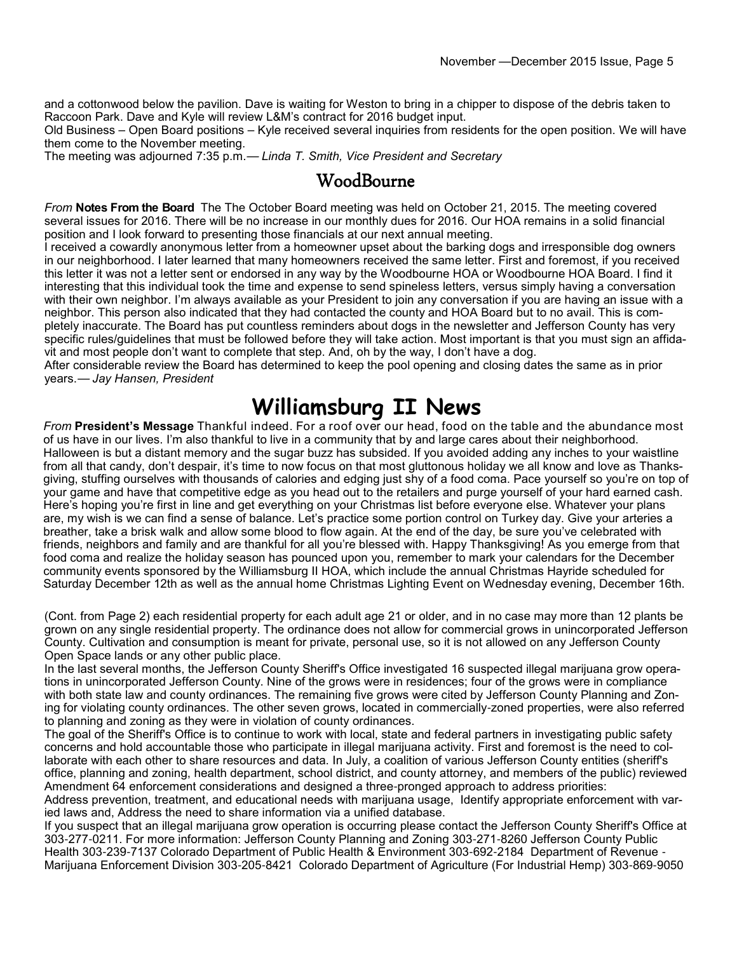and a cottonwood below the pavilion. Dave is waiting for Weston to bring in a chipper to dispose of the debris taken to Raccoon Park. Dave and Kyle will review L&M's contract for 2016 budget input.

Old Business – Open Board positions – Kyle received several inquiries from residents for the open position. We will have them come to the November meeting.

The meeting was adjourned 7:35 p.m.— *Linda T. Smith, Vice President and Secretary*

#### WoodBourne

*From* **Notes From the Board** The The October Board meeting was held on October 21, 2015. The meeting covered several issues for 2016. There will be no increase in our monthly dues for 2016. Our HOA remains in a solid financial position and I look forward to presenting those financials at our next annual meeting.

I received a cowardly anonymous letter from a homeowner upset about the barking dogs and irresponsible dog owners in our neighborhood. I later learned that many homeowners received the same letter. First and foremost, if you received this letter it was not a letter sent or endorsed in any way by the Woodbourne HOA or Woodbourne HOA Board. I find it interesting that this individual took the time and expense to send spineless letters, versus simply having a conversation with their own neighbor. I'm always available as your President to join any conversation if you are having an issue with a neighbor. This person also indicated that they had contacted the county and HOA Board but to no avail. This is completely inaccurate. The Board has put countless reminders about dogs in the newsletter and Jefferson County has very specific rules/guidelines that must be followed before they will take action. Most important is that you must sign an affidavit and most people don't want to complete that step. And, oh by the way, I don't have a dog.

After considerable review the Board has determined to keep the pool opening and closing dates the same as in prior years.— *Jay Hansen, President*

#### **Williamsburg II News**

*From* **President's Message** Thankful indeed. For a roof over our head, food on the table and the abundance most of us have in our lives. I'm also thankful to live in a community that by and large cares about their neighborhood. Halloween is but a distant memory and the sugar buzz has subsided. If you avoided adding any inches to your waistline from all that candy, don't despair, it's time to now focus on that most gluttonous holiday we all know and love as Thanksgiving, stuffing ourselves with thousands of calories and edging just shy of a food coma. Pace yourself so you're on top of your game and have that competitive edge as you head out to the retailers and purge yourself of your hard earned cash. Here's hoping you're first in line and get everything on your Christmas list before everyone else. Whatever your plans are, my wish is we can find a sense of balance. Let's practice some portion control on Turkey day. Give your arteries a breather, take a brisk walk and allow some blood to flow again. At the end of the day, be sure you've celebrated with friends, neighbors and family and are thankful for all you're blessed with. Happy Thanksgiving! As you emerge from that food coma and realize the holiday season has pounced upon you, remember to mark your calendars for the December community events sponsored by the Williamsburg II HOA, which include the annual Christmas Hayride scheduled for Saturday December 12th as well as the annual home Christmas Lighting Event on Wednesday evening, December 16th.

(Cont. from Page 2) each residential property for each adult age 21 or older, and in no case may more than 12 plants be grown on any single residential property. The ordinance does not allow for commercial grows in unincorporated Jefferson County. Cultivation and consumption is meant for private, personal use, so it is not allowed on any Jefferson County Open Space lands or any other public place.

In the last several months, the Jefferson County Sheriff's Office investigated 16 suspected illegal marijuana grow operations in unincorporated Jefferson County. Nine of the grows were in residences; four of the grows were in compliance with both state law and county ordinances. The remaining five grows were cited by Jefferson County Planning and Zoning for violating county ordinances. The other seven grows, located in commercially-zoned properties, were also referred to planning and zoning as they were in violation of county ordinances.

The goal of the Sheriff's Office is to continue to work with local, state and federal partners in investigating public safety concerns and hold accountable those who participate in illegal marijuana activity. First and foremost is the need to collaborate with each other to share resources and data. In July, a coalition of various Jefferson County entities (sheriff's office, planning and zoning, health department, school district, and county attorney, and members of the public) reviewed Amendment 64 enforcement considerations and designed a three-pronged approach to address priorities:

Address prevention, treatment, and educational needs with marijuana usage, Identify appropriate enforcement with varied laws and, Address the need to share information via a unified database.

If you suspect that an illegal marijuana grow operation is occurring please contact the Jefferson County Sheriff's Office at 303-277-0211. For more information: Jefferson County Planning and Zoning 303-271-8260 Jefferson County Public Health 303-239-7137 Colorado Department of Public Health & Environment 303-692-2184 Department of Revenue - Marijuana Enforcement Division 303-205-8421 Colorado Department of Agriculture (For Industrial Hemp) 303-869-9050